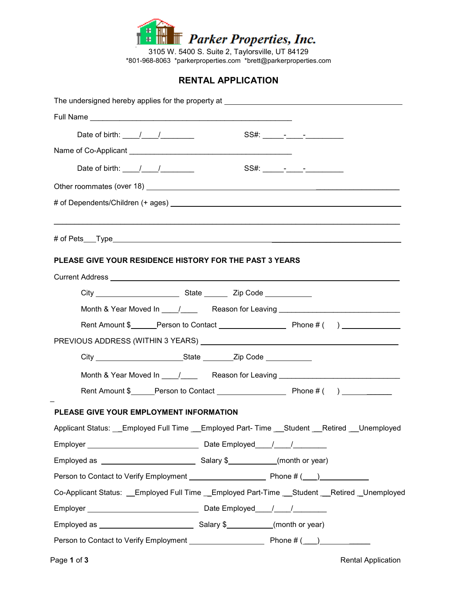

3105 W. 5400 S. Suite 2, Taylorsville, UT 84129 \*801-968-8063 \*parkerproperties.com \*brett@parkerproperties.com

## **RENTAL APPLICATION**

| The undersigned hereby applies for the property at _____________________________               |
|------------------------------------------------------------------------------------------------|
|                                                                                                |
|                                                                                                |
|                                                                                                |
| Date of birth: $\frac{1}{\sqrt{2}}$                                                            |
|                                                                                                |
|                                                                                                |
|                                                                                                |
|                                                                                                |
|                                                                                                |
| PLEASE GIVE YOUR RESIDENCE HISTORY FOR THE PAST 3 YEARS                                        |
|                                                                                                |
| City City City Code City Code                                                                  |
|                                                                                                |
| Rent Amount \$ Person to Contact Phone # ( )                                                   |
|                                                                                                |
|                                                                                                |
|                                                                                                |
|                                                                                                |
| PLEASE GIVE YOUR EMPLOYMENT INFORMATION                                                        |
| Applicant Status: Employed Full Time Employed Part-Time Student Retired Unemployed             |
|                                                                                                |
|                                                                                                |
|                                                                                                |
| Co-Applicant Status: __Employed Full Time __Employed Part-Time __Student __Retired _Unemployed |
|                                                                                                |
|                                                                                                |
|                                                                                                |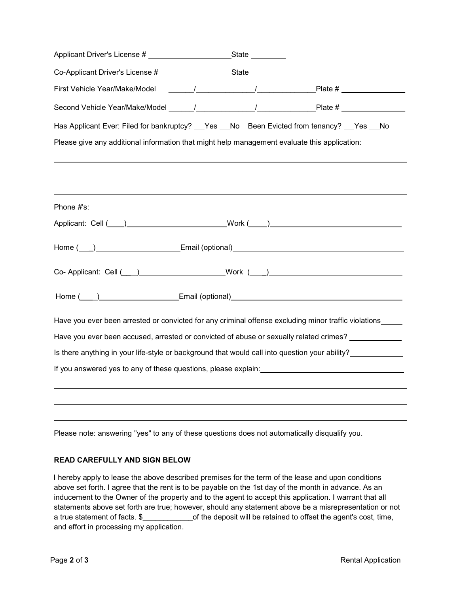| Applicant Driver's License # ______________________________State __________                           |  |  |
|-------------------------------------------------------------------------------------------------------|--|--|
|                                                                                                       |  |  |
|                                                                                                       |  |  |
|                                                                                                       |  |  |
| Has Applicant Ever: Filed for bankruptcy? __Yes __No Been Evicted from tenancy? __Yes __No            |  |  |
|                                                                                                       |  |  |
| ,我们也不能会有一个人的事情。""我们的人们是不是我们的人,我们也不能会有一个人的人,我们也不能会有一个人的人,我们也不能会有一个人的人,我们也不能会有一个人的                      |  |  |
|                                                                                                       |  |  |
|                                                                                                       |  |  |
| Phone #'s:                                                                                            |  |  |
|                                                                                                       |  |  |
|                                                                                                       |  |  |
| Co-Applicant: Cell ( ) Work ( )                                                                       |  |  |
|                                                                                                       |  |  |
| Have you ever been arrested or convicted for any criminal offense excluding minor traffic violations_ |  |  |
| Have you ever been accused, arrested or convicted of abuse or sexually related crimes? ____________   |  |  |
| Is there anything in your life-style or background that would call into question your ability?        |  |  |
|                                                                                                       |  |  |
|                                                                                                       |  |  |
| ,我们也不会有什么。""我们的人,我们也不会有什么?""我们的人,我们也不会有什么?""我们的人,我们也不会有什么?""我们的人,我们也不会有什么?""我们的人                      |  |  |
|                                                                                                       |  |  |

Please note: answering "yes" to any of these questions does not automatically disqualify you.

## **READ CAREFULLY AND SIGN BELOW**

I hereby apply to lease the above described premises for the term of the lease and upon conditions above set forth. I agree that the rent is to be payable on the 1st day of the month in advance. As an inducement to the Owner of the property and to the agent to accept this application. I warrant that all statements above set forth are true; however, should any statement above be a misrepresentation or not a true statement of facts. \$ of the deposit will be retained to offset the agent's cost, time, and effort in processing my application.